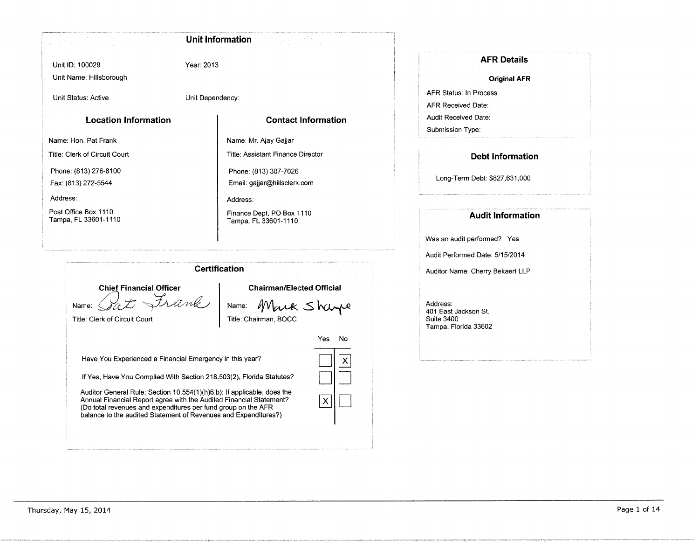### **Unit Information**

Unit ID: 100029 Unit Name: Hillsborough

Unit Status: Active

Unit Dependency:

### **Location Information**

Name: Hon. Pat Frank

Title: Clerk of Circuit Court

Phone: (813) 276-8100

Fax: (813) 272-5544

Address:

Post Office Box 1110 Tampa, FL 33601-1110

Year: 2013

### **Contact Information**

Name: Mr. Ajay Gajjar

Title: Assistant Finance Director

Phone: (813) 307-7026

Email: gajjar@hillsclerk.com

Address:

Finance Dept, PO Box 1110 Tampa, FL 33601-1110

|                                                                                                                                                                                                                                                                                    | Certification |                                  |     |    |
|------------------------------------------------------------------------------------------------------------------------------------------------------------------------------------------------------------------------------------------------------------------------------------|---------------|----------------------------------|-----|----|
| <b>Chief Financial Officer</b>                                                                                                                                                                                                                                                     |               | <b>Chairman/Elected Official</b> |     |    |
| Title: Clerk of Circuit Court                                                                                                                                                                                                                                                      |               | Name: <i>Mark</i> Shary          |     |    |
|                                                                                                                                                                                                                                                                                    |               |                                  | Yes | Nο |
| Have You Experienced a Financial Emergency in this year?                                                                                                                                                                                                                           |               |                                  |     |    |
| If Yes, Have You Complied With Section 218.503(2), Florida Statutes?                                                                                                                                                                                                               |               |                                  |     |    |
| Auditor General Rule: Section 10.554(1)(h)6.b): If applicable, does the<br>Annual Financial Report agree with the Audited Financial Statement?<br>(Do total revenues and expenditures per fund group on the AFR<br>balance to the audited Statement of Revenues and Expenditures?) |               |                                  |     |    |
|                                                                                                                                                                                                                                                                                    |               |                                  |     |    |

# **AFR Details Original AFR AFR Status: In Process AFR Received Date:** Audit Received Date: Submission Type:

## **Debt Information**

Long-Term Debt: \$827,631,000

### **Audit Information**

Was an audit performed? Yes

Audit Performed Date: 5/15/2014

Auditor Name: Cherry Bekaert LLP

Address: 401 East Jackson St. **Suite 3400** Tampa, Florida 33602

Thursday, May 15, 2014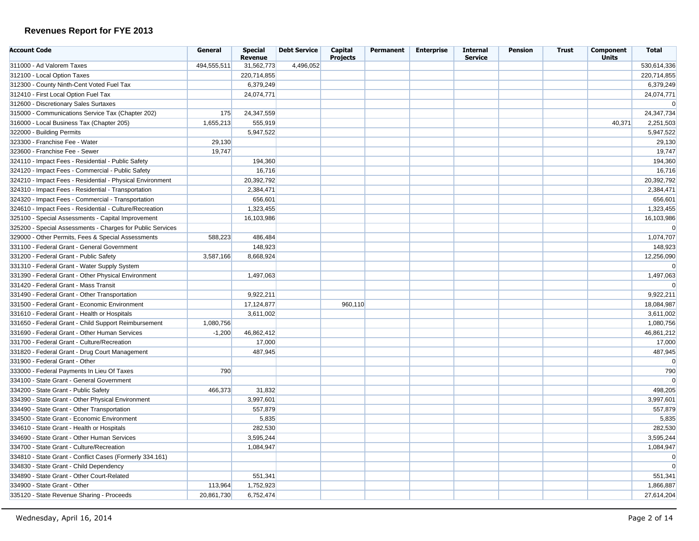# **Revenues Report for FYE 2013**

| <b>Account Code</b>                                        | General     | <b>Special</b><br>Revenue | <b>Debt Service</b> | Capital<br><b>Projects</b> | Permanent | <b>Enterprise</b> | <b>Internal</b><br><b>Service</b> | Pension | <b>Trust</b> | Component<br><b>Units</b> | <b>Total</b>   |
|------------------------------------------------------------|-------------|---------------------------|---------------------|----------------------------|-----------|-------------------|-----------------------------------|---------|--------------|---------------------------|----------------|
| 311000 - Ad Valorem Taxes                                  | 494,555,511 | 31,562,773                | 4,496,052           |                            |           |                   |                                   |         |              |                           | 530,614,336    |
| 312100 - Local Option Taxes                                |             | 220,714,855               |                     |                            |           |                   |                                   |         |              |                           | 220,714,855    |
| 312300 - County Ninth-Cent Voted Fuel Tax                  |             | 6,379,249                 |                     |                            |           |                   |                                   |         |              |                           | 6,379,249      |
| 312410 - First Local Option Fuel Tax                       |             | 24,074,771                |                     |                            |           |                   |                                   |         |              |                           | 24,074,771     |
| 312600 - Discretionary Sales Surtaxes                      |             |                           |                     |                            |           |                   |                                   |         |              |                           | $\overline{0}$ |
| 315000 - Communications Service Tax (Chapter 202)          | 175         | 24,347,559                |                     |                            |           |                   |                                   |         |              |                           | 24,347,734     |
| 316000 - Local Business Tax (Chapter 205)                  | 1,655,213   | 555,919                   |                     |                            |           |                   |                                   |         |              | 40,371                    | 2,251,503      |
| 322000 - Building Permits                                  |             | 5,947,522                 |                     |                            |           |                   |                                   |         |              |                           | 5,947,522      |
| 323300 - Franchise Fee - Water                             | 29,130      |                           |                     |                            |           |                   |                                   |         |              |                           | 29,130         |
| 323600 - Franchise Fee - Sewer                             | 19,747      |                           |                     |                            |           |                   |                                   |         |              |                           | 19,747         |
| 324110 - Impact Fees - Residential - Public Safety         |             | 194,360                   |                     |                            |           |                   |                                   |         |              |                           | 194,360        |
| 324120 - Impact Fees - Commercial - Public Safety          |             | 16,716                    |                     |                            |           |                   |                                   |         |              |                           | 16,716         |
| 324210 - Impact Fees - Residential - Physical Environment  |             | 20,392,792                |                     |                            |           |                   |                                   |         |              |                           | 20,392,792     |
| 324310 - Impact Fees - Residential - Transportation        |             | 2,384,471                 |                     |                            |           |                   |                                   |         |              |                           | 2,384,471      |
| 324320 - Impact Fees - Commercial - Transportation         |             | 656,601                   |                     |                            |           |                   |                                   |         |              |                           | 656,601        |
| 324610 - Impact Fees - Residential - Culture/Recreation    |             | 1,323,455                 |                     |                            |           |                   |                                   |         |              |                           | 1,323,455      |
| 325100 - Special Assessments - Capital Improvement         |             | 16,103,986                |                     |                            |           |                   |                                   |         |              |                           | 16,103,986     |
| 325200 - Special Assessments - Charges for Public Services |             |                           |                     |                            |           |                   |                                   |         |              |                           | $\overline{0}$ |
| 329000 - Other Permits, Fees & Special Assessments         | 588,223     | 486,484                   |                     |                            |           |                   |                                   |         |              |                           | 1,074,707      |
| 331100 - Federal Grant - General Government                |             | 148,923                   |                     |                            |           |                   |                                   |         |              |                           | 148,923        |
| 331200 - Federal Grant - Public Safety                     | 3,587,166   | 8,668,924                 |                     |                            |           |                   |                                   |         |              |                           | 12,256,090     |
| 331310 - Federal Grant - Water Supply System               |             |                           |                     |                            |           |                   |                                   |         |              |                           | $\overline{0}$ |
| 331390 - Federal Grant - Other Physical Environment        |             | 1,497,063                 |                     |                            |           |                   |                                   |         |              |                           | 1,497,063      |
| 331420 - Federal Grant - Mass Transit                      |             |                           |                     |                            |           |                   |                                   |         |              |                           | $\overline{0}$ |
| 331490 - Federal Grant - Other Transportation              |             | 9,922,211                 |                     |                            |           |                   |                                   |         |              |                           | 9,922,211      |
| 331500 - Federal Grant - Economic Environment              |             | 17,124,877                |                     | 960,110                    |           |                   |                                   |         |              |                           | 18,084,987     |
| 331610 - Federal Grant - Health or Hospitals               |             | 3,611,002                 |                     |                            |           |                   |                                   |         |              |                           | 3,611,002      |
| 331650 - Federal Grant - Child Support Reimbursement       | 1,080,756   |                           |                     |                            |           |                   |                                   |         |              |                           | 1,080,756      |
| 331690 - Federal Grant - Other Human Services              | $-1,200$    | 46,862,412                |                     |                            |           |                   |                                   |         |              |                           | 46,861,212     |
| 331700 - Federal Grant - Culture/Recreation                |             | 17,000                    |                     |                            |           |                   |                                   |         |              |                           | 17,000         |
| 331820 - Federal Grant - Drug Court Management             |             | 487,945                   |                     |                            |           |                   |                                   |         |              |                           | 487,945        |
| 331900 - Federal Grant - Other                             |             |                           |                     |                            |           |                   |                                   |         |              |                           | $\Omega$       |
| 333000 - Federal Payments In Lieu Of Taxes                 | 790         |                           |                     |                            |           |                   |                                   |         |              |                           | 790            |
| 334100 - State Grant - General Government                  |             |                           |                     |                            |           |                   |                                   |         |              |                           | $\overline{0}$ |
| 334200 - State Grant - Public Safety                       | 466,373     | 31,832                    |                     |                            |           |                   |                                   |         |              |                           | 498,205        |
| 334390 - State Grant - Other Physical Environment          |             | 3,997,601                 |                     |                            |           |                   |                                   |         |              |                           | 3,997,601      |
| 334490 - State Grant - Other Transportation                |             | 557,879                   |                     |                            |           |                   |                                   |         |              |                           | 557,879        |
| 334500 - State Grant - Economic Environment                |             | 5,835                     |                     |                            |           |                   |                                   |         |              |                           | 5,835          |
| 334610 - State Grant - Health or Hospitals                 |             | 282,530                   |                     |                            |           |                   |                                   |         |              |                           | 282,530        |
| 334690 - State Grant - Other Human Services                |             | 3,595,244                 |                     |                            |           |                   |                                   |         |              |                           | 3,595,244      |
| 334700 - State Grant - Culture/Recreation                  |             | 1,084,947                 |                     |                            |           |                   |                                   |         |              |                           | 1,084,947      |
| 334810 - State Grant - Conflict Cases (Formerly 334.161)   |             |                           |                     |                            |           |                   |                                   |         |              |                           | $\overline{0}$ |
| 334830 - State Grant - Child Dependency                    |             |                           |                     |                            |           |                   |                                   |         |              |                           | $\overline{0}$ |
| 334890 - State Grant - Other Court-Related                 |             | 551,341                   |                     |                            |           |                   |                                   |         |              |                           | 551,341        |
| 334900 - State Grant - Other                               | 113,964     | 1,752,923                 |                     |                            |           |                   |                                   |         |              |                           | 1,866,887      |
| 335120 - State Revenue Sharing - Proceeds                  | 20,861,730  | 6,752,474                 |                     |                            |           |                   |                                   |         |              |                           | 27,614,204     |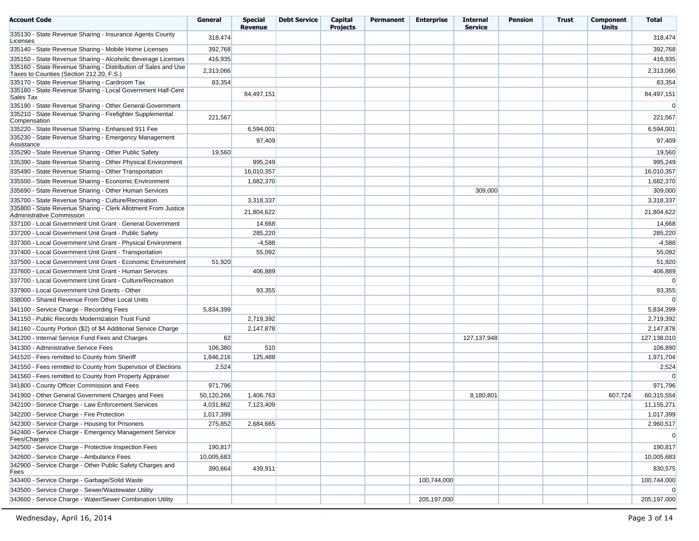| Account Code                                                                                                         | General    | <b>Special</b><br><b>Revenue</b> | <b>Debt Service</b> | Capital<br><b>Projects</b> | Permanent | <b>Enterprise</b> | <b>Internal</b><br><b>Service</b> | <b>Pension</b> | <b>Trust</b> | Component<br><b>Units</b> | Total          |
|----------------------------------------------------------------------------------------------------------------------|------------|----------------------------------|---------------------|----------------------------|-----------|-------------------|-----------------------------------|----------------|--------------|---------------------------|----------------|
| 335130 - State Revenue Sharing - Insurance Agents County<br>Licenses                                                 | 318,474    |                                  |                     |                            |           |                   |                                   |                |              |                           | 318,474        |
| 335140 - State Revenue Sharing - Mobile Home Licenses                                                                | 392,768    |                                  |                     |                            |           |                   |                                   |                |              |                           | 392,768        |
| 335150 - State Revenue Sharing - Alcoholic Beverage Licenses                                                         | 416,935    |                                  |                     |                            |           |                   |                                   |                |              |                           | 416,935        |
| 335160 - State Revenue Sharing - Distribution of Sales and Use<br>Taxes to Counties (Section 212.20, F.S.)           | 2,313,066  |                                  |                     |                            |           |                   |                                   |                |              |                           | 2,313,066      |
| 335170 - State Revenue Sharing - Cardroom Tax                                                                        | 83,354     |                                  |                     |                            |           |                   |                                   |                |              |                           | 83,354         |
| 335180 - State Revenue Sharing - Local Government Half-Cent<br>Sales Tax                                             |            | 84,497,151                       |                     |                            |           |                   |                                   |                |              |                           | 84,497,151     |
| 335190 - State Revenue Sharing - Other General Government                                                            |            |                                  |                     |                            |           |                   |                                   |                |              |                           | $\overline{0}$ |
| 335210 - State Revenue Sharing - Firefighter Supplemental<br>Compensation                                            | 221,567    |                                  |                     |                            |           |                   |                                   |                |              |                           | 221,567        |
| 335220 - State Revenue Sharing - Enhanced 911 Fee                                                                    |            | 6,594,001                        |                     |                            |           |                   |                                   |                |              |                           | 6,594,001      |
| 335230 - State Revenue Sharing - Emergency Management<br>Assistance                                                  |            | 97,409                           |                     |                            |           |                   |                                   |                |              |                           | 97,409         |
| 335290 - State Revenue Sharing - Other Public Safety                                                                 | 19,560     |                                  |                     |                            |           |                   |                                   |                |              |                           | 19,560         |
| 335390 - State Revenue Sharing - Other Physical Environment                                                          |            | 995,249                          |                     |                            |           |                   |                                   |                |              |                           | 995,249        |
| 335490 - State Revenue Sharing - Other Transportation                                                                |            | 16,010,357                       |                     |                            |           |                   |                                   |                |              |                           | 16,010,357     |
| 335500 - State Revenue Sharing - Economic Environment                                                                |            | 1,682,370                        |                     |                            |           |                   |                                   |                |              |                           | 1,682,370      |
| 335690 - State Revenue Sharing - Other Human Services                                                                |            |                                  |                     |                            |           |                   | 309,000                           |                |              |                           | 309,000        |
| 335700 - State Revenue Sharing - Culture/Recreation<br>335800 - State Revenue Sharing - Clerk Allotment From Justice |            | 3,318,337                        |                     |                            |           |                   |                                   |                |              |                           | 3,318,337      |
| Administrative Commission                                                                                            |            | 21,804,622                       |                     |                            |           |                   |                                   |                |              |                           | 21,804,622     |
| 337100 - Local Government Unit Grant - General Government                                                            |            | 14,668                           |                     |                            |           |                   |                                   |                |              |                           | 14,668         |
| 337200 - Local Government Unit Grant - Public Safety                                                                 |            | 285,220                          |                     |                            |           |                   |                                   |                |              |                           | 285,220        |
| 337300 - Local Government Unit Grant - Physical Environment                                                          |            | $-4,588$                         |                     |                            |           |                   |                                   |                |              |                           | $-4,588$       |
| 337400 - Local Government Unit Grant - Transportation                                                                |            | 55,092                           |                     |                            |           |                   |                                   |                |              |                           | 55,092         |
| 337500 - Local Government Unit Grant - Economic Environment                                                          | 51,920     |                                  |                     |                            |           |                   |                                   |                |              |                           | 51,920         |
| 337600 - Local Government Unit Grant - Human Services                                                                |            | 406,889                          |                     |                            |           |                   |                                   |                |              |                           | 406,889        |
| 337700 - Local Government Unit Grant - Culture/Recreation                                                            |            |                                  |                     |                            |           |                   |                                   |                |              |                           | $\overline{0}$ |
| 337900 - Local Government Unit Grants - Other                                                                        |            | 93,355                           |                     |                            |           |                   |                                   |                |              |                           | 93,355         |
| 338000 - Shared Revenue From Other Local Units                                                                       |            |                                  |                     |                            |           |                   |                                   |                |              |                           | $\overline{0}$ |
| 341100 - Service Charge - Recording Fees                                                                             | 5,834,399  |                                  |                     |                            |           |                   |                                   |                |              |                           | 5,834,399      |
| 341150 - Public Records Modernization Trust Fund                                                                     |            | 2,719,392                        |                     |                            |           |                   |                                   |                |              |                           | 2,719,392      |
| 341160 - County Portion (\$2) of \$4 Additional Service Charge                                                       |            | 2,147,878                        |                     |                            |           |                   |                                   |                |              |                           | 2,147,878      |
| 341200 - Internal Service Fund Fees and Charges                                                                      | 62         |                                  |                     |                            |           |                   | 127,137,948                       |                |              |                           | 127,138,010    |
| 341300 - Administrative Service Fees                                                                                 | 106,380    | 510                              |                     |                            |           |                   |                                   |                |              |                           | 106,890        |
| 341520 - Fees remitted to County from Sheriff                                                                        | 1,846,216  | 125,488                          |                     |                            |           |                   |                                   |                |              |                           | 1,971,704      |
| 341550 - Fees remitted to County from Supervisor of Elections                                                        | 2,524      |                                  |                     |                            |           |                   |                                   |                |              |                           | 2,524          |
| 341560 - Fees remitted to County from Property Appraiser                                                             |            |                                  |                     |                            |           |                   |                                   |                |              |                           | $\Omega$       |
| 341800 - County Officer Commission and Fees                                                                          | 971,796    |                                  |                     |                            |           |                   |                                   |                |              |                           | 971,796        |
| 341900 - Other General Government Charges and Fees                                                                   | 50,120,266 | 1,406,763                        |                     |                            |           |                   | 8,180,801                         |                |              | 607,724                   | 60,315,554     |
| 342100 - Service Charge - Law Enforcement Services                                                                   | 4,031,862  | 7,123,409                        |                     |                            |           |                   |                                   |                |              |                           | 11,155,271     |
| 342200 - Service Charge - Fire Protection                                                                            | 1,017,399  |                                  |                     |                            |           |                   |                                   |                |              |                           | 1,017,399      |
| 342300 - Service Charge - Housing for Prisoners                                                                      | 275,852    | 2,684,665                        |                     |                            |           |                   |                                   |                |              |                           | 2,960,517      |
| 342400 - Service Charge - Emergency Management Service<br>Fees/Charges                                               |            |                                  |                     |                            |           |                   |                                   |                |              |                           | $\overline{0}$ |
| 342500 - Service Charge - Protective Inspection Fees                                                                 | 190,817    |                                  |                     |                            |           |                   |                                   |                |              |                           | 190,817        |
| 342600 - Service Charge - Ambulance Fees                                                                             | 10,005,683 |                                  |                     |                            |           |                   |                                   |                |              |                           | 10,005,683     |
| 342900 - Service Charge - Other Public Safety Charges and<br>Fees                                                    | 390,664    | 439,911                          |                     |                            |           |                   |                                   |                |              |                           | 830,575        |
| 343400 - Service Charge - Garbage/Solid Waste                                                                        |            |                                  |                     |                            |           | 100,744,000       |                                   |                |              |                           | 100,744,000    |
| 343500 - Service Charge - Sewer/Wastewater Utility                                                                   |            |                                  |                     |                            |           |                   |                                   |                |              |                           | $\overline{0}$ |
| 343600 - Service Charge - Water/Sewer Combination Utility                                                            |            |                                  |                     |                            |           | 205,197,000       |                                   |                |              |                           | 205,197,000    |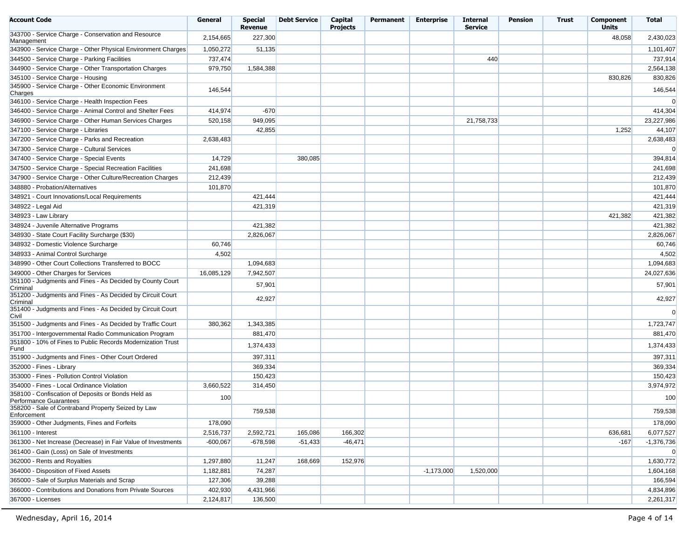| Account Code                                                                 | General    | <b>Special</b><br><b>Revenue</b> | <b>Debt Service</b> | Capital<br><b>Projects</b> | Permanent | <b>Enterprise</b> | <b>Internal</b><br><b>Service</b> | Pension | <b>Trust</b> | Component<br><b>Units</b> | <b>Total</b>   |
|------------------------------------------------------------------------------|------------|----------------------------------|---------------------|----------------------------|-----------|-------------------|-----------------------------------|---------|--------------|---------------------------|----------------|
| 343700 - Service Charge - Conservation and Resource<br>Management            | 2,154,665  | 227,300                          |                     |                            |           |                   |                                   |         |              | 48,058                    | 2,430,023      |
| 343900 - Service Charge - Other Physical Environment Charges                 | 1,050,272  | 51,135                           |                     |                            |           |                   |                                   |         |              |                           | 1,101,407      |
| 344500 - Service Charge - Parking Facilities                                 | 737,474    |                                  |                     |                            |           |                   | 440                               |         |              |                           | 737,914        |
| 344900 - Service Charge - Other Transportation Charges                       | 979,750    | 1,584,388                        |                     |                            |           |                   |                                   |         |              |                           | 2,564,138      |
| 345100 - Service Charge - Housing                                            |            |                                  |                     |                            |           |                   |                                   |         |              | 830,826                   | 830,826        |
| 345900 - Service Charge - Other Economic Environment<br>Charges              | 146,544    |                                  |                     |                            |           |                   |                                   |         |              |                           | 146,544        |
| 346100 - Service Charge - Health Inspection Fees                             |            |                                  |                     |                            |           |                   |                                   |         |              |                           | $\overline{0}$ |
| 346400 - Service Charge - Animal Control and Shelter Fees                    | 414,974    | $-670$                           |                     |                            |           |                   |                                   |         |              |                           | 414,304        |
| 346900 - Service Charge - Other Human Services Charges                       | 520,158    | 949,095                          |                     |                            |           |                   | 21,758,733                        |         |              |                           | 23,227,986     |
| 347100 - Service Charge - Libraries                                          |            | 42,855                           |                     |                            |           |                   |                                   |         |              | 1,252                     | 44,107         |
| 347200 - Service Charge - Parks and Recreation                               | 2,638,483  |                                  |                     |                            |           |                   |                                   |         |              |                           | 2,638,483      |
| 347300 - Service Charge - Cultural Services                                  |            |                                  |                     |                            |           |                   |                                   |         |              |                           | $\overline{0}$ |
| 347400 - Service Charge - Special Events                                     | 14,729     |                                  | 380,085             |                            |           |                   |                                   |         |              |                           | 394,814        |
| 347500 - Service Charge - Special Recreation Facilities                      | 241,698    |                                  |                     |                            |           |                   |                                   |         |              |                           | 241,698        |
| 347900 - Service Charge - Other Culture/Recreation Charges                   | 212,439    |                                  |                     |                            |           |                   |                                   |         |              |                           | 212,439        |
| 348880 - Probation/Alternatives                                              | 101,870    |                                  |                     |                            |           |                   |                                   |         |              |                           | 101,870        |
| 348921 - Court Innovations/Local Requirements                                |            | 421,444                          |                     |                            |           |                   |                                   |         |              |                           | 421,444        |
| 348922 - Legal Aid                                                           |            | 421,319                          |                     |                            |           |                   |                                   |         |              |                           | 421,319        |
| 348923 - Law Library                                                         |            |                                  |                     |                            |           |                   |                                   |         |              | 421,382                   | 421,382        |
| 348924 - Juvenile Alternative Programs                                       |            | 421,382                          |                     |                            |           |                   |                                   |         |              |                           | 421,382        |
| 348930 - State Court Facility Surcharge (\$30)                               |            | 2,826,067                        |                     |                            |           |                   |                                   |         |              |                           | 2,826,067      |
| 348932 - Domestic Violence Surcharge                                         | 60,746     |                                  |                     |                            |           |                   |                                   |         |              |                           | 60,746         |
| 348933 - Animal Control Surcharge                                            | 4,502      |                                  |                     |                            |           |                   |                                   |         |              |                           | 4,502          |
| 348990 - Other Court Collections Transferred to BOCC                         |            | 1,094,683                        |                     |                            |           |                   |                                   |         |              |                           | 1,094,683      |
| 349000 - Other Charges for Services                                          | 16,085,129 | 7,942,507                        |                     |                            |           |                   |                                   |         |              |                           | 24,027,636     |
| 351100 - Judgments and Fines - As Decided by County Court<br>Criminal        |            | 57,901                           |                     |                            |           |                   |                                   |         |              |                           | 57,901         |
| 351200 - Judgments and Fines - As Decided by Circuit Court<br>Criminal       |            | 42,927                           |                     |                            |           |                   |                                   |         |              |                           | 42,927         |
| 351400 - Judgments and Fines - As Decided by Circuit Court<br>Civil          |            |                                  |                     |                            |           |                   |                                   |         |              |                           | $\overline{0}$ |
| 351500 - Judgments and Fines - As Decided by Traffic Court                   | 380,362    | 1,343,385                        |                     |                            |           |                   |                                   |         |              |                           | 1,723,747      |
| 351700 - Intergovernmental Radio Communication Program                       |            | 881,470                          |                     |                            |           |                   |                                   |         |              |                           | 881,470        |
| 351800 - 10% of Fines to Public Records Modernization Trust<br>Fund          |            | 1,374,433                        |                     |                            |           |                   |                                   |         |              |                           | 1,374,433      |
| 351900 - Judgments and Fines - Other Court Ordered                           |            | 397,311                          |                     |                            |           |                   |                                   |         |              |                           | 397,311        |
| 352000 - Fines - Library                                                     |            | 369,334                          |                     |                            |           |                   |                                   |         |              |                           | 369,334        |
| 353000 - Fines - Pollution Control Violation                                 |            | 150,423                          |                     |                            |           |                   |                                   |         |              |                           | 150,423        |
| 354000 - Fines - Local Ordinance Violation                                   | 3,660,522  | 314,450                          |                     |                            |           |                   |                                   |         |              |                           | 3,974,972      |
| 358100 - Confiscation of Deposits or Bonds Held as<br>Performance Guarantees | 100        |                                  |                     |                            |           |                   |                                   |         |              |                           | 100            |
| 358200 - Sale of Contraband Property Seized by Law<br>Enforcement            |            | 759,538                          |                     |                            |           |                   |                                   |         |              |                           | 759,538        |
| 359000 - Other Judgments, Fines and Forfeits                                 | 178,090    |                                  |                     |                            |           |                   |                                   |         |              |                           | 178,090        |
| 361100 - Interest                                                            | 2,516,737  | 2,592,721                        | 165,086             | 166,302                    |           |                   |                                   |         |              | 636,681                   | 6,077,527      |
| 361300 - Net Increase (Decrease) in Fair Value of Investments                | $-600,067$ | $-678,598$                       | $-51,433$           | $-46,471$                  |           |                   |                                   |         |              | $-167$                    | -1,376,736     |
| 361400 - Gain (Loss) on Sale of Investments                                  |            |                                  |                     |                            |           |                   |                                   |         |              |                           |                |
| 362000 - Rents and Royalties                                                 | 1,297,880  | 11,247                           | 168,669             | 152,976                    |           |                   |                                   |         |              |                           | 1,630,772      |
| 364000 - Disposition of Fixed Assets                                         | 1,182,881  | 74,287                           |                     |                            |           | $-1,173,000$      | 1,520,000                         |         |              |                           | 1,604,168      |
| 365000 - Sale of Surplus Materials and Scrap                                 | 127,306    | 39,288                           |                     |                            |           |                   |                                   |         |              |                           | 166,594        |
| 366000 - Contributions and Donations from Private Sources                    | 402,930    | 4,431,966                        |                     |                            |           |                   |                                   |         |              |                           | 4,834,896      |
| 367000 - Licenses                                                            | 2,124,817  | 136,500                          |                     |                            |           |                   |                                   |         |              |                           | 2,261,317      |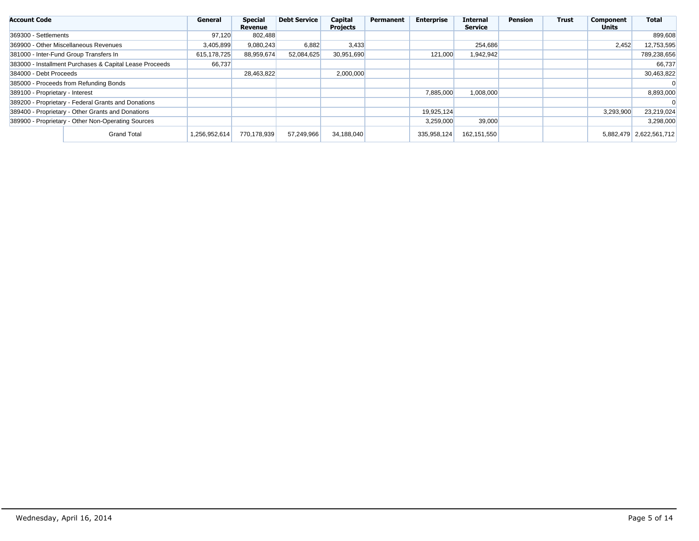| <b>Account Code</b>             |                                                         | General       | <b>Special</b><br>Revenue | <b>Debt Service</b> | Capital<br><b>Projects</b> | Permanent | <b>Enterprise</b> | <b>Internal</b><br>Service | Pension | <b>Trust</b> | Component<br><b>Units</b> | Total                   |
|---------------------------------|---------------------------------------------------------|---------------|---------------------------|---------------------|----------------------------|-----------|-------------------|----------------------------|---------|--------------|---------------------------|-------------------------|
| 369300 - Settlements            |                                                         | 97,120        | 802,488                   |                     |                            |           |                   |                            |         |              |                           | 899,608                 |
|                                 | 369900 - Other Miscellaneous Revenues                   | 3,405,899     | 9,080,243                 | 6.882               | 3,433                      |           |                   | 254,686                    |         |              | 2,452                     | 12,753,595              |
|                                 | 381000 - Inter-Fund Group Transfers In                  | 615,178,725   | 88,959,674                | 52,084,625          | 30,951,690                 |           | 121,000           | 1,942,942                  |         |              |                           | 789,238,656             |
|                                 | 383000 - Installment Purchases & Capital Lease Proceeds | 66,737        |                           |                     |                            |           |                   |                            |         |              |                           | 66.737                  |
| 384000 - Debt Proceeds          |                                                         |               | 28,463,822                |                     | 2,000,000                  |           |                   |                            |         |              |                           | 30,463,822              |
|                                 | 385000 - Proceeds from Refunding Bonds                  |               |                           |                     |                            |           |                   |                            |         |              |                           | $\Omega$                |
| 389100 - Proprietary - Interest |                                                         |               |                           |                     |                            |           | 7,885,000         | 1,008,000                  |         |              |                           | 8,893,000               |
|                                 | 389200 - Proprietary - Federal Grants and Donations     |               |                           |                     |                            |           |                   |                            |         |              |                           | $\Omega$                |
|                                 | 389400 - Proprietary - Other Grants and Donations       |               |                           |                     |                            |           | 19,925,124        |                            |         |              | 3,293,900                 | 23,219,024              |
|                                 | 389900 - Proprietary - Other Non-Operating Sources      |               |                           |                     |                            |           | 3,259,000         | 39,000                     |         |              |                           | 3,298,000               |
|                                 | <b>Grand Total</b>                                      | 1,256,952,614 | 770.178.939               | 57.249.966          | 34,188,040                 |           | 335,958,124       | 162,151,550                |         |              |                           | 5,882,479 2,622,561,712 |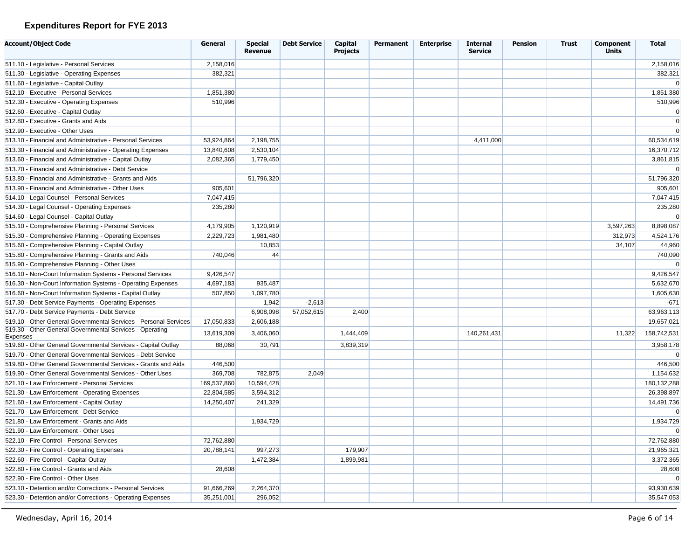# **Expenditures Report for FYE 2013**

| <b>Account/Object Code</b>                                       | General     | <b>Special</b><br><b>Revenue</b> | <b>Debt Service</b> | Capital<br><b>Projects</b> | Permanent | <b>Enterprise</b> | <b>Internal</b><br><b>Service</b> | <b>Pension</b> | <b>Trust</b> | Component<br><b>Units</b> | <b>Total</b> |
|------------------------------------------------------------------|-------------|----------------------------------|---------------------|----------------------------|-----------|-------------------|-----------------------------------|----------------|--------------|---------------------------|--------------|
| 511.10 - Legislative - Personal Services                         | 2,158,016   |                                  |                     |                            |           |                   |                                   |                |              |                           | 2,158,016    |
| 511.30 - Legislative - Operating Expenses                        | 382,321     |                                  |                     |                            |           |                   |                                   |                |              |                           | 382,321      |
| 511.60 - Legislative - Capital Outlay                            |             |                                  |                     |                            |           |                   |                                   |                |              |                           | $\Omega$     |
| 512.10 - Executive - Personal Services                           | 1,851,380   |                                  |                     |                            |           |                   |                                   |                |              |                           | 1,851,380    |
| 512.30 - Executive - Operating Expenses                          | 510,996     |                                  |                     |                            |           |                   |                                   |                |              |                           | 510,996      |
| 512.60 - Executive - Capital Outlay                              |             |                                  |                     |                            |           |                   |                                   |                |              |                           | $\mathbf 0$  |
| 512.80 - Executive - Grants and Aids                             |             |                                  |                     |                            |           |                   |                                   |                |              |                           | $\mathbf 0$  |
| 512.90 - Executive - Other Uses                                  |             |                                  |                     |                            |           |                   |                                   |                |              |                           | $\Omega$     |
| 513.10 - Financial and Administrative - Personal Services        | 53,924,864  | 2,198,755                        |                     |                            |           |                   | 4,411,000                         |                |              |                           | 60,534,619   |
| 513.30 - Financial and Administrative - Operating Expenses       | 13,840,608  | 2,530,104                        |                     |                            |           |                   |                                   |                |              |                           | 16,370,712   |
| 513.60 - Financial and Administrative - Capital Outlay           | 2,082,365   | 1,779,450                        |                     |                            |           |                   |                                   |                |              |                           | 3,861,815    |
| 513.70 - Financial and Administrative - Debt Service             |             |                                  |                     |                            |           |                   |                                   |                |              |                           | $\mathbf 0$  |
| 513.80 - Financial and Administrative - Grants and Aids          |             | 51,796,320                       |                     |                            |           |                   |                                   |                |              |                           | 51,796,320   |
| 513.90 - Financial and Administrative - Other Uses               | 905,601     |                                  |                     |                            |           |                   |                                   |                |              |                           | 905,601      |
| 514.10 - Legal Counsel - Personal Services                       | 7,047,415   |                                  |                     |                            |           |                   |                                   |                |              |                           | 7,047,415    |
| 514.30 - Legal Counsel - Operating Expenses                      | 235,280     |                                  |                     |                            |           |                   |                                   |                |              |                           | 235,280      |
| 514.60 - Legal Counsel - Capital Outlay                          |             |                                  |                     |                            |           |                   |                                   |                |              |                           | $\mathbf 0$  |
| 515.10 - Comprehensive Planning - Personal Services              | 4,179,905   | 1,120,919                        |                     |                            |           |                   |                                   |                |              | 3,597,263                 | 8,898,087    |
| 515.30 - Comprehensive Planning - Operating Expenses             | 2,229,723   | 1,981,480                        |                     |                            |           |                   |                                   |                |              | 312,973                   | 4,524,176    |
| 515.60 - Comprehensive Planning - Capital Outlay                 |             | 10,853                           |                     |                            |           |                   |                                   |                |              | 34,107                    | 44,960       |
| 515.80 - Comprehensive Planning - Grants and Aids                | 740,046     | 44                               |                     |                            |           |                   |                                   |                |              |                           | 740,090      |
| 515.90 - Comprehensive Planning - Other Uses                     |             |                                  |                     |                            |           |                   |                                   |                |              |                           | $\mathbf 0$  |
| 516.10 - Non-Court Information Systems - Personal Services       | 9,426,547   |                                  |                     |                            |           |                   |                                   |                |              |                           | 9,426,547    |
| 516.30 - Non-Court Information Systems - Operating Expenses      | 4,697,183   | 935,487                          |                     |                            |           |                   |                                   |                |              |                           | 5,632,670    |
| 516.60 - Non-Court Information Systems - Capital Outlay          | 507,850     | 1,097,780                        |                     |                            |           |                   |                                   |                |              |                           | 1,605,630    |
| 517.30 - Debt Service Payments - Operating Expenses              |             | 1,942                            | $-2,613$            |                            |           |                   |                                   |                |              |                           | $-671$       |
| 517.70 - Debt Service Payments - Debt Service                    |             | 6,908,098                        | 57,052,615          | 2,400                      |           |                   |                                   |                |              |                           | 63,963,113   |
| 519.10 - Other General Governmental Services - Personal Services | 17,050,833  | 2,606,188                        |                     |                            |           |                   |                                   |                |              |                           | 19,657,021   |
| 519.30 - Other General Governmental Services - Operating         |             |                                  |                     |                            |           |                   |                                   |                |              |                           |              |
| <b>Expenses</b>                                                  | 13,619,309  | 3,406,060                        |                     | 1,444,409                  |           |                   | 140,261,431                       |                |              | 11,322                    | 158,742,531  |
| 519.60 - Other General Governmental Services - Capital Outlay    | 88,068      | 30,791                           |                     | 3,839,319                  |           |                   |                                   |                |              |                           | 3,958,178    |
| 519.70 - Other General Governmental Services - Debt Service      |             |                                  |                     |                            |           |                   |                                   |                |              |                           | $\mathbf 0$  |
| 519.80 - Other General Governmental Services - Grants and Aids   | 446,500     |                                  |                     |                            |           |                   |                                   |                |              |                           | 446,500      |
| 519.90 - Other General Governmental Services - Other Uses        | 369,708     | 782,875                          | 2,049               |                            |           |                   |                                   |                |              |                           | 1,154,632    |
| 521.10 - Law Enforcement - Personal Services                     | 169,537,860 | 10,594,428                       |                     |                            |           |                   |                                   |                |              |                           | 180,132,288  |
| 521.30 - Law Enforcement - Operating Expenses                    | 22,804,585  | 3,594,312                        |                     |                            |           |                   |                                   |                |              |                           | 26,398,897   |
| 521.60 - Law Enforcement - Capital Outlay                        | 14,250,407  | 241,329                          |                     |                            |           |                   |                                   |                |              |                           | 14,491,736   |
| 521.70 - Law Enforcement - Debt Service                          |             |                                  |                     |                            |           |                   |                                   |                |              |                           | $\Omega$     |
| 521.80 - Law Enforcement - Grants and Aids                       |             | 1,934,729                        |                     |                            |           |                   |                                   |                |              |                           | 1,934,729    |
| 521.90 - Law Enforcement - Other Uses                            |             |                                  |                     |                            |           |                   |                                   |                |              |                           | $\mathbf 0$  |
| 522.10 - Fire Control - Personal Services                        | 72,762,880  |                                  |                     |                            |           |                   |                                   |                |              |                           | 72,762,880   |
| 522.30 - Fire Control - Operating Expenses                       | 20,788,141  | 997,273                          |                     | 179,907                    |           |                   |                                   |                |              |                           | 21,965,321   |
| 522.60 - Fire Control - Capital Outlay                           |             | 1,472,384                        |                     | 1,899,981                  |           |                   |                                   |                |              |                           | 3,372,365    |
| 522.80 - Fire Control - Grants and Aids                          | 28,608      |                                  |                     |                            |           |                   |                                   |                |              |                           | 28,608       |
| 522.90 - Fire Control - Other Uses                               |             |                                  |                     |                            |           |                   |                                   |                |              |                           | $\mathbf 0$  |
| 523.10 - Detention and/or Corrections - Personal Services        | 91,666,269  | 2,264,370                        |                     |                            |           |                   |                                   |                |              |                           | 93,930,639   |
| 523.30 - Detention and/or Corrections - Operating Expenses       | 35,251,001  | 296,052                          |                     |                            |           |                   |                                   |                |              |                           | 35,547,053   |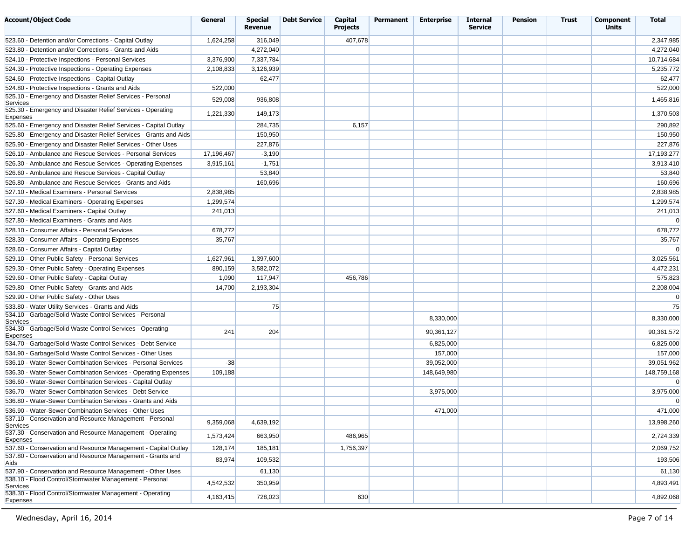| <b>Account/Object Code</b>                                                                                    | General    | <b>Special</b><br><b>Revenue</b> | <b>Debt Service</b> | Capital<br><b>Projects</b> | Permanent | <b>Enterprise</b> | <b>Internal</b><br><b>Service</b> | <b>Pension</b> | <b>Trust</b> | Component<br><b>Units</b> | Total           |
|---------------------------------------------------------------------------------------------------------------|------------|----------------------------------|---------------------|----------------------------|-----------|-------------------|-----------------------------------|----------------|--------------|---------------------------|-----------------|
| 523.60 - Detention and/or Corrections - Capital Outlay                                                        | 1,624,258  | 316,049                          |                     | 407,678                    |           |                   |                                   |                |              |                           | 2,347,985       |
| 523.80 - Detention and/or Corrections - Grants and Aids                                                       |            | 4,272,040                        |                     |                            |           |                   |                                   |                |              |                           | 4,272,040       |
| 524.10 - Protective Inspections - Personal Services                                                           | 3,376,900  | 7,337,784                        |                     |                            |           |                   |                                   |                |              |                           | 10,714,684      |
| 524.30 - Protective Inspections - Operating Expenses                                                          | 2,108,833  | 3,126,939                        |                     |                            |           |                   |                                   |                |              |                           | 5,235,772       |
| 524.60 - Protective Inspections - Capital Outlay                                                              |            | 62,477                           |                     |                            |           |                   |                                   |                |              |                           | 62,477          |
| 524.80 - Protective Inspections - Grants and Aids                                                             | 522,000    |                                  |                     |                            |           |                   |                                   |                |              |                           | 522,000         |
| 525.10 - Emergency and Disaster Relief Services - Personal                                                    | 529,008    | 936,808                          |                     |                            |           |                   |                                   |                |              |                           | 1,465,816       |
| Services<br>525.30 - Emergency and Disaster Relief Services - Operating                                       | 1,221,330  | 149,173                          |                     |                            |           |                   |                                   |                |              |                           | 1,370,503       |
| Expenses<br>525.60 - Emergency and Disaster Relief Services - Capital Outlay                                  |            | 284,735                          |                     | 6,157                      |           |                   |                                   |                |              |                           | 290,892         |
| 525.80 - Emergency and Disaster Relief Services - Grants and Aids                                             |            | 150,950                          |                     |                            |           |                   |                                   |                |              |                           | 150,950         |
| 525.90 - Emergency and Disaster Relief Services - Other Uses                                                  |            | 227,876                          |                     |                            |           |                   |                                   |                |              |                           | 227,876         |
| 526.10 - Ambulance and Rescue Services - Personal Services                                                    | 17,196,467 | $-3,190$                         |                     |                            |           |                   |                                   |                |              |                           | 17,193,277      |
| 526.30 - Ambulance and Rescue Services - Operating Expenses                                                   | 3,915,161  | $-1,751$                         |                     |                            |           |                   |                                   |                |              |                           | 3,913,410       |
| 526.60 - Ambulance and Rescue Services - Capital Outlay                                                       |            | 53,840                           |                     |                            |           |                   |                                   |                |              |                           | 53,840          |
|                                                                                                               |            |                                  |                     |                            |           |                   |                                   |                |              |                           |                 |
| 526.80 - Ambulance and Rescue Services - Grants and Aids                                                      |            | 160,696                          |                     |                            |           |                   |                                   |                |              |                           | 160,696         |
| 527.10 - Medical Examiners - Personal Services                                                                | 2,838,985  |                                  |                     |                            |           |                   |                                   |                |              |                           | 2,838,985       |
| 527.30 - Medical Examiners - Operating Expenses                                                               | 1,299,574  |                                  |                     |                            |           |                   |                                   |                |              |                           | 1,299,574       |
| 527.60 - Medical Examiners - Capital Outlay                                                                   | 241,013    |                                  |                     |                            |           |                   |                                   |                |              |                           | 241,013         |
| 527.80 - Medical Examiners - Grants and Aids                                                                  |            |                                  |                     |                            |           |                   |                                   |                |              |                           | $\overline{0}$  |
| 528.10 - Consumer Affairs - Personal Services                                                                 | 678,772    |                                  |                     |                            |           |                   |                                   |                |              |                           | 678,772         |
| 528.30 - Consumer Affairs - Operating Expenses                                                                | 35,767     |                                  |                     |                            |           |                   |                                   |                |              |                           | 35,767          |
| 528.60 - Consumer Affairs - Capital Outlay                                                                    |            |                                  |                     |                            |           |                   |                                   |                |              |                           | $\Omega$        |
| 529.10 - Other Public Safety - Personal Services                                                              | 1,627,961  | 1,397,600                        |                     |                            |           |                   |                                   |                |              |                           | 3,025,561       |
| 529.30 - Other Public Safety - Operating Expenses                                                             | 890,159    | 3,582,072                        |                     |                            |           |                   |                                   |                |              |                           | 4,472,231       |
| 529.60 - Other Public Safety - Capital Outlay                                                                 | 1,090      | 117,947                          |                     | 456,786                    |           |                   |                                   |                |              |                           | 575,823         |
| 529.80 - Other Public Safety - Grants and Aids                                                                | 14,700     | 2,193,304                        |                     |                            |           |                   |                                   |                |              |                           | 2,208,004       |
| 529.90 - Other Public Safety - Other Uses                                                                     |            |                                  |                     |                            |           |                   |                                   |                |              |                           |                 |
| 533.80 - Water Utility Services - Grants and Aids<br>534.10 - Garbage/Solid Waste Control Services - Personal |            | 75                               |                     |                            |           | 8,330,000         |                                   |                |              |                           | 75<br>8,330,000 |
| Services<br>534.30 - Garbage/Solid Waste Control Services - Operating<br>Expenses                             | 241        | 204                              |                     |                            |           | 90,361,127        |                                   |                |              |                           | 90,361,572      |
| 534.70 - Garbage/Solid Waste Control Services - Debt Service                                                  |            |                                  |                     |                            |           | 6,825,000         |                                   |                |              |                           | 6,825,000       |
| 534.90 - Garbage/Solid Waste Control Services - Other Uses                                                    |            |                                  |                     |                            |           | 157,000           |                                   |                |              |                           | 157,000         |
| 536.10 - Water-Sewer Combination Services - Personal Services                                                 | $-38$      |                                  |                     |                            |           | 39,052,000        |                                   |                |              |                           | 39,051,962      |
| 536.30 - Water-Sewer Combination Services - Operating Expenses                                                | 109,188    |                                  |                     |                            |           | 148,649,980       |                                   |                |              |                           | 148,759,168     |
| 536.60 - Water-Sewer Combination Services - Capital Outlay                                                    |            |                                  |                     |                            |           |                   |                                   |                |              |                           | $\overline{0}$  |
| 536.70 - Water-Sewer Combination Services - Debt Service                                                      |            |                                  |                     |                            |           | 3,975,000         |                                   |                |              |                           | 3,975,000       |
| 536.80 - Water-Sewer Combination Services - Grants and Aids                                                   |            |                                  |                     |                            |           |                   |                                   |                |              |                           | $\Omega$        |
| 536.90 - Water-Sewer Combination Services - Other Uses                                                        |            |                                  |                     |                            |           | 471,000           |                                   |                |              |                           | 471,000         |
| 537.10 - Conservation and Resource Management - Personal<br><b>Services</b>                                   | 9,359,068  | 4,639,192                        |                     |                            |           |                   |                                   |                |              |                           | 13,998,260      |
| 537.30 - Conservation and Resource Management - Operating<br><b>Expenses</b>                                  | 1,573,424  | 663,950                          |                     | 486,965                    |           |                   |                                   |                |              |                           | 2,724,339       |
| 537.60 - Conservation and Resource Management - Capital Outlay                                                | 128,174    | 185,181                          |                     | 1,756,397                  |           |                   |                                   |                |              |                           | 2,069,752       |
| 537.80 - Conservation and Resource Management - Grants and<br>Aids                                            | 83,974     | 109,532                          |                     |                            |           |                   |                                   |                |              |                           | 193,506         |
| 537.90 - Conservation and Resource Management - Other Uses                                                    |            | 61,130                           |                     |                            |           |                   |                                   |                |              |                           | 61,130          |
| 538.10 - Flood Control/Stormwater Management - Personal<br><b>Services</b>                                    | 4,542,532  | 350,959                          |                     |                            |           |                   |                                   |                |              |                           | 4,893,491       |
| 538.30 - Flood Control/Stormwater Management - Operating<br><b>Expenses</b>                                   | 4,163,415  | 728,023                          |                     | 630                        |           |                   |                                   |                |              |                           | 4,892,068       |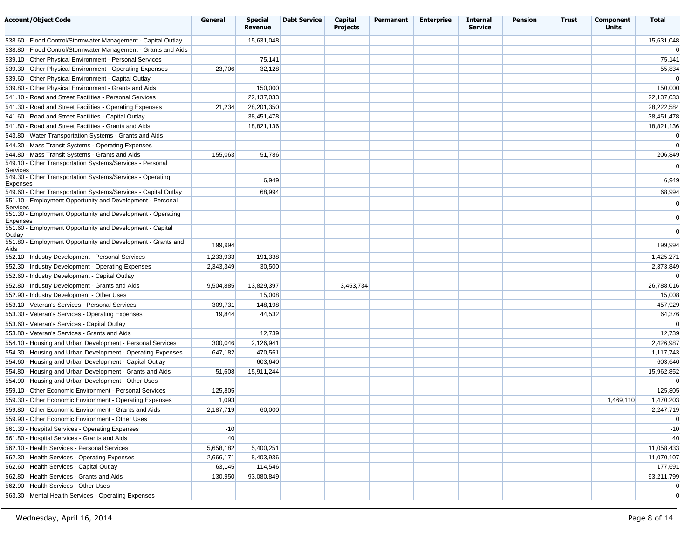| Account/Object Code                                                            | General   | <b>Special</b><br><b>Revenue</b> | <b>Debt Service</b> | Capital<br><b>Projects</b> | Permanent | <b>Enterprise</b> | <b>Internal</b><br>Service | <b>Pension</b> | <b>Trust</b> | Component<br><b>Units</b> | Total          |
|--------------------------------------------------------------------------------|-----------|----------------------------------|---------------------|----------------------------|-----------|-------------------|----------------------------|----------------|--------------|---------------------------|----------------|
| 538.60 - Flood Control/Stormwater Management - Capital Outlay                  |           | 15,631,048                       |                     |                            |           |                   |                            |                |              |                           | 15,631,048     |
| 538.80 - Flood Control/Stormwater Management - Grants and Aids                 |           |                                  |                     |                            |           |                   |                            |                |              |                           | $\overline{0}$ |
| 539.10 - Other Physical Environment - Personal Services                        |           | 75,141                           |                     |                            |           |                   |                            |                |              |                           | 75,141         |
| 539.30 - Other Physical Environment - Operating Expenses                       | 23,706    | 32,128                           |                     |                            |           |                   |                            |                |              |                           | 55,834         |
| 539.60 - Other Physical Environment - Capital Outlay                           |           |                                  |                     |                            |           |                   |                            |                |              |                           | $\Omega$       |
| 539.80 - Other Physical Environment - Grants and Aids                          |           | 150,000                          |                     |                            |           |                   |                            |                |              |                           | 150,000        |
| 541.10 - Road and Street Facilities - Personal Services                        |           | 22,137,033                       |                     |                            |           |                   |                            |                |              |                           | 22,137,033     |
| 541.30 - Road and Street Facilities - Operating Expenses                       | 21,234    | 28,201,350                       |                     |                            |           |                   |                            |                |              |                           | 28,222,584     |
| 541.60 - Road and Street Facilities - Capital Outlay                           |           | 38,451,478                       |                     |                            |           |                   |                            |                |              |                           | 38,451,478     |
| 541.80 - Road and Street Facilities - Grants and Aids                          |           | 18,821,136                       |                     |                            |           |                   |                            |                |              |                           | 18,821,136     |
| 543.80 - Water Transportation Systems - Grants and Aids                        |           |                                  |                     |                            |           |                   |                            |                |              |                           | $\overline{0}$ |
| 544.30 - Mass Transit Systems - Operating Expenses                             |           |                                  |                     |                            |           |                   |                            |                |              |                           | $\overline{0}$ |
| 544.80 - Mass Transit Systems - Grants and Aids                                | 155,063   | 51,786                           |                     |                            |           |                   |                            |                |              |                           | 206,849        |
| 549.10 - Other Transportation Systems/Services - Personal<br>Services          |           |                                  |                     |                            |           |                   |                            |                |              |                           | $\Omega$       |
| 549.30 - Other Transportation Systems/Services - Operating<br><b>Expenses</b>  |           | 6,949                            |                     |                            |           |                   |                            |                |              |                           | 6,949          |
| 549.60 - Other Transportation Systems/Services - Capital Outlay                |           | 68,994                           |                     |                            |           |                   |                            |                |              |                           | 68,994         |
| 551.10 - Employment Opportunity and Development - Personal<br>Services         |           |                                  |                     |                            |           |                   |                            |                |              |                           | $\overline{0}$ |
| 551.30 - Employment Opportunity and Development - Operating<br><b>Expenses</b> |           |                                  |                     |                            |           |                   |                            |                |              |                           | $\overline{0}$ |
| 551.60 - Employment Opportunity and Development - Capital<br>Outlay            |           |                                  |                     |                            |           |                   |                            |                |              |                           | $\overline{0}$ |
| 551.80 - Employment Opportunity and Development - Grants and<br>Aids           | 199,994   |                                  |                     |                            |           |                   |                            |                |              |                           | 199,994        |
| 552.10 - Industry Development - Personal Services                              | 1,233,933 | 191,338                          |                     |                            |           |                   |                            |                |              |                           | 1,425,271      |
| 552.30 - Industry Development - Operating Expenses                             | 2,343,349 | 30,500                           |                     |                            |           |                   |                            |                |              |                           | 2,373,849      |
| 552.60 - Industry Development - Capital Outlay                                 |           |                                  |                     |                            |           |                   |                            |                |              |                           | $\Omega$       |
| 552.80 - Industry Development - Grants and Aids                                | 9,504,885 | 13,829,397                       |                     | 3,453,734                  |           |                   |                            |                |              |                           | 26,788,016     |
| 552.90 - Industry Development - Other Uses                                     |           | 15,008                           |                     |                            |           |                   |                            |                |              |                           | 15,008         |
| 553.10 - Veteran's Services - Personal Services                                | 309,731   | 148,198                          |                     |                            |           |                   |                            |                |              |                           | 457,929        |
| 553.30 - Veteran's Services - Operating Expenses                               | 19,844    | 44,532                           |                     |                            |           |                   |                            |                |              |                           | 64,376         |
| 553.60 - Veteran's Services - Capital Outlay                                   |           |                                  |                     |                            |           |                   |                            |                |              |                           |                |
| 553.80 - Veteran's Services - Grants and Aids                                  |           | 12,739                           |                     |                            |           |                   |                            |                |              |                           | 12,739         |
| 554.10 - Housing and Urban Development - Personal Services                     | 300,046   | 2,126,941                        |                     |                            |           |                   |                            |                |              |                           | 2,426,987      |
| 554.30 - Housing and Urban Development - Operating Expenses                    | 647,182   | 470,561                          |                     |                            |           |                   |                            |                |              |                           | 1,117,743      |
| 554.60 - Housing and Urban Development - Capital Outlay                        |           | 603,640                          |                     |                            |           |                   |                            |                |              |                           | 603,640        |
| 554.80 - Housing and Urban Development - Grants and Aids                       | 51,608    | 15,911,244                       |                     |                            |           |                   |                            |                |              |                           | 15,962,852     |
| 554.90 - Housing and Urban Development - Other Uses                            |           |                                  |                     |                            |           |                   |                            |                |              |                           | $\Omega$       |
| 559.10 - Other Economic Environment - Personal Services                        | 125,805   |                                  |                     |                            |           |                   |                            |                |              |                           | 125,805        |
| 559.30 - Other Economic Environment - Operating Expenses                       | 1,093     |                                  |                     |                            |           |                   |                            |                |              | 1,469,110                 | 1,470,203      |
| 559.80 - Other Economic Environment - Grants and Aids                          | 2,187,719 | 60,000                           |                     |                            |           |                   |                            |                |              |                           | 2,247,719      |
| 559.90 - Other Economic Environment - Other Uses                               |           |                                  |                     |                            |           |                   |                            |                |              |                           | $\overline{0}$ |
| 561.30 - Hospital Services - Operating Expenses                                | $-10$     |                                  |                     |                            |           |                   |                            |                |              |                           | $-10$          |
| 561.80 - Hospital Services - Grants and Aids                                   | 40        |                                  |                     |                            |           |                   |                            |                |              |                           | 40             |
| 562.10 - Health Services - Personal Services                                   | 5,658,182 | 5,400,251                        |                     |                            |           |                   |                            |                |              |                           | 11,058,433     |
| 562.30 - Health Services - Operating Expenses                                  | 2,666,171 | 8,403,936                        |                     |                            |           |                   |                            |                |              |                           | 11,070,107     |
| 562.60 - Health Services - Capital Outlay                                      | 63,145    | 114,546                          |                     |                            |           |                   |                            |                |              |                           | 177,691        |
| 562.80 - Health Services - Grants and Aids                                     | 130,950   | 93,080,849                       |                     |                            |           |                   |                            |                |              |                           | 93,211,799     |
| 562.90 - Health Services - Other Uses                                          |           |                                  |                     |                            |           |                   |                            |                |              |                           | $\overline{0}$ |
| 563.30 - Mental Health Services - Operating Expenses                           |           |                                  |                     |                            |           |                   |                            |                |              |                           | $\overline{0}$ |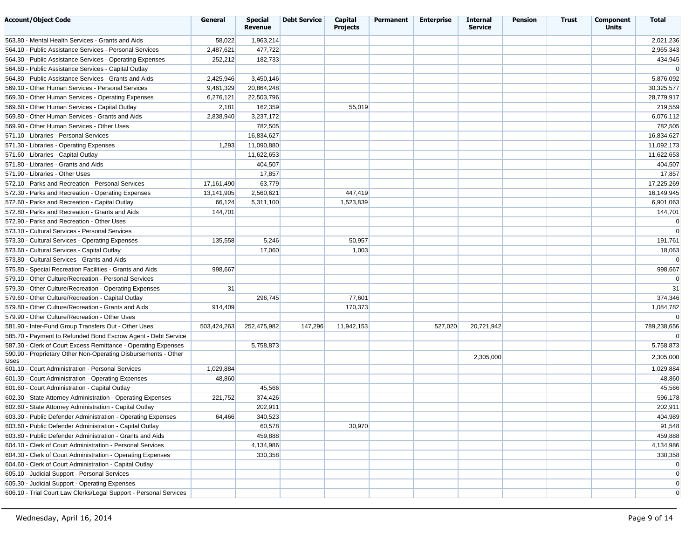| <b>Account/Object Code</b>                                             | General     | <b>Special</b><br><b>Revenue</b> | <b>Debt Service</b> | Capital<br><b>Projects</b> | Permanent | <b>Enterprise</b> | <b>Internal</b><br><b>Service</b> | <b>Pension</b> | <b>Trust</b> | Component<br><b>Units</b> | <b>Total</b>   |
|------------------------------------------------------------------------|-------------|----------------------------------|---------------------|----------------------------|-----------|-------------------|-----------------------------------|----------------|--------------|---------------------------|----------------|
| 563.80 - Mental Health Services - Grants and Aids                      | 58,022      | 1,963,214                        |                     |                            |           |                   |                                   |                |              |                           | 2,021,236      |
| 564.10 - Public Assistance Services - Personal Services                | 2,487,621   | 477,722                          |                     |                            |           |                   |                                   |                |              |                           | 2,965,343      |
| 564.30 - Public Assistance Services - Operating Expenses               | 252,212     | 182,733                          |                     |                            |           |                   |                                   |                |              |                           | 434,945        |
| 564.60 - Public Assistance Services - Capital Outlay                   |             |                                  |                     |                            |           |                   |                                   |                |              |                           | $\Omega$       |
| 564.80 - Public Assistance Services - Grants and Aids                  | 2,425,946   | 3,450,146                        |                     |                            |           |                   |                                   |                |              |                           | 5,876,092      |
| 569.10 - Other Human Services - Personal Services                      | 9,461,329   | 20,864,248                       |                     |                            |           |                   |                                   |                |              |                           | 30,325,577     |
| 569.30 - Other Human Services - Operating Expenses                     | 6,276,121   | 22,503,796                       |                     |                            |           |                   |                                   |                |              |                           | 28,779,917     |
| 569.60 - Other Human Services - Capital Outlay                         | 2,181       | 162,359                          |                     | 55,019                     |           |                   |                                   |                |              |                           | 219,559        |
| 569.80 - Other Human Services - Grants and Aids                        | 2,838,940   | 3,237,172                        |                     |                            |           |                   |                                   |                |              |                           | 6,076,112      |
| 569.90 - Other Human Services - Other Uses                             |             | 782,505                          |                     |                            |           |                   |                                   |                |              |                           | 782,505        |
| 571.10 - Libraries - Personal Services                                 |             | 16,834,627                       |                     |                            |           |                   |                                   |                |              |                           | 16,834,627     |
| 571.30 - Libraries - Operating Expenses                                | 1,293       | 11,090,880                       |                     |                            |           |                   |                                   |                |              |                           | 11,092,173     |
| 571.60 - Libraries - Capital Outlay                                    |             | 11,622,653                       |                     |                            |           |                   |                                   |                |              |                           | 11,622,653     |
| 571.80 - Libraries - Grants and Aids                                   |             | 404,507                          |                     |                            |           |                   |                                   |                |              |                           | 404,507        |
| 571.90 - Libraries - Other Uses                                        |             | 17,857                           |                     |                            |           |                   |                                   |                |              |                           | 17,857         |
| 572.10 - Parks and Recreation - Personal Services                      | 17,161,490  | 63,779                           |                     |                            |           |                   |                                   |                |              |                           | 17,225,269     |
| 572.30 - Parks and Recreation - Operating Expenses                     | 13,141,905  | 2,560,621                        |                     | 447,419                    |           |                   |                                   |                |              |                           | 16,149,945     |
| 572.60 - Parks and Recreation - Capital Outlay                         | 66,124      | 5,311,100                        |                     | 1,523,839                  |           |                   |                                   |                |              |                           | 6,901,063      |
| 572.80 - Parks and Recreation - Grants and Aids                        | 144,701     |                                  |                     |                            |           |                   |                                   |                |              |                           | 144,701        |
| 572.90 - Parks and Recreation - Other Uses                             |             |                                  |                     |                            |           |                   |                                   |                |              |                           | $\overline{0}$ |
| 573.10 - Cultural Services - Personal Services                         |             |                                  |                     |                            |           |                   |                                   |                |              |                           | $\overline{0}$ |
| 573.30 - Cultural Services - Operating Expenses                        | 135,558     | 5,246                            |                     | 50,957                     |           |                   |                                   |                |              |                           | 191,761        |
| 573.60 - Cultural Services - Capital Outlay                            |             | 17,060                           |                     | 1,003                      |           |                   |                                   |                |              |                           | 18,063         |
| 573.80 - Cultural Services - Grants and Aids                           |             |                                  |                     |                            |           |                   |                                   |                |              |                           | $\overline{0}$ |
| 575.80 - Special Recreation Facilities - Grants and Aids               | 998,667     |                                  |                     |                            |           |                   |                                   |                |              |                           | 998,667        |
| 579.10 - Other Culture/Recreation - Personal Services                  |             |                                  |                     |                            |           |                   |                                   |                |              |                           | $\overline{0}$ |
| 579.30 - Other Culture/Recreation - Operating Expenses                 | 31          |                                  |                     |                            |           |                   |                                   |                |              |                           | 31             |
| 579.60 - Other Culture/Recreation - Capital Outlay                     |             | 296,745                          |                     | 77,601                     |           |                   |                                   |                |              |                           | 374,346        |
| 579.80 - Other Culture/Recreation - Grants and Aids                    | 914,409     |                                  |                     | 170,373                    |           |                   |                                   |                |              |                           | 1,084,782      |
| 579.90 - Other Culture/Recreation - Other Uses                         |             |                                  |                     |                            |           |                   |                                   |                |              |                           | $\Omega$       |
| 581.90 - Inter-Fund Group Transfers Out - Other Uses                   | 503,424,263 | 252,475,982                      | 147,296             | 11,942,153                 |           | 527,020           | 20,721,942                        |                |              |                           | 789,238,656    |
| 585.70 - Payment to Refunded Bond Escrow Agent - Debt Service          |             |                                  |                     |                            |           |                   |                                   |                |              |                           | $\overline{0}$ |
| 587.30 - Clerk of Court Excess Remittance - Operating Expenses         |             | 5,758,873                        |                     |                            |           |                   |                                   |                |              |                           | 5,758,873      |
| 590.90 - Proprietary Other Non-Operating Disbursements - Other<br>Uses |             |                                  |                     |                            |           |                   | 2.305.000                         |                |              |                           | 2,305,000      |
| 601.10 - Court Administration - Personal Services                      | 1,029,884   |                                  |                     |                            |           |                   |                                   |                |              |                           | 1,029,884      |
| 601.30 - Court Administration - Operating Expenses                     | 48,860      |                                  |                     |                            |           |                   |                                   |                |              |                           | 48,860         |
| 601.60 - Court Administration - Capital Outlay                         |             | 45,566                           |                     |                            |           |                   |                                   |                |              |                           | 45,566         |
| 602.30 - State Attorney Administration - Operating Expenses            | 221,752     | 374,426                          |                     |                            |           |                   |                                   |                |              |                           | 596,178        |
| 602.60 - State Attorney Administration - Capital Outlay                |             | 202,911                          |                     |                            |           |                   |                                   |                |              |                           | 202,911        |
| 603.30 - Public Defender Administration - Operating Expenses           | 64,466      | 340,523                          |                     |                            |           |                   |                                   |                |              |                           | 404,989        |
| 603.60 - Public Defender Administration - Capital Outlay               |             | 60,578                           |                     | 30,970                     |           |                   |                                   |                |              |                           | 91,548         |
| 603.80 - Public Defender Administration - Grants and Aids              |             | 459,888                          |                     |                            |           |                   |                                   |                |              |                           | 459,888        |
| 604.10 - Clerk of Court Administration - Personal Services             |             | 4,134,986                        |                     |                            |           |                   |                                   |                |              |                           | 4,134,986      |
| 604.30 - Clerk of Court Administration - Operating Expenses            |             | 330,358                          |                     |                            |           |                   |                                   |                |              |                           | 330,358        |
| 604.60 - Clerk of Court Administration - Capital Outlay                |             |                                  |                     |                            |           |                   |                                   |                |              |                           | $\overline{0}$ |
| 605.10 - Judicial Support - Personal Services                          |             |                                  |                     |                            |           |                   |                                   |                |              |                           | $\overline{0}$ |
| 605.30 - Judicial Support - Operating Expenses                         |             |                                  |                     |                            |           |                   |                                   |                |              |                           | $\overline{0}$ |
| 606.10 - Trial Court Law Clerks/Legal Support - Personal Services      |             |                                  |                     |                            |           |                   |                                   |                |              |                           | $\overline{0}$ |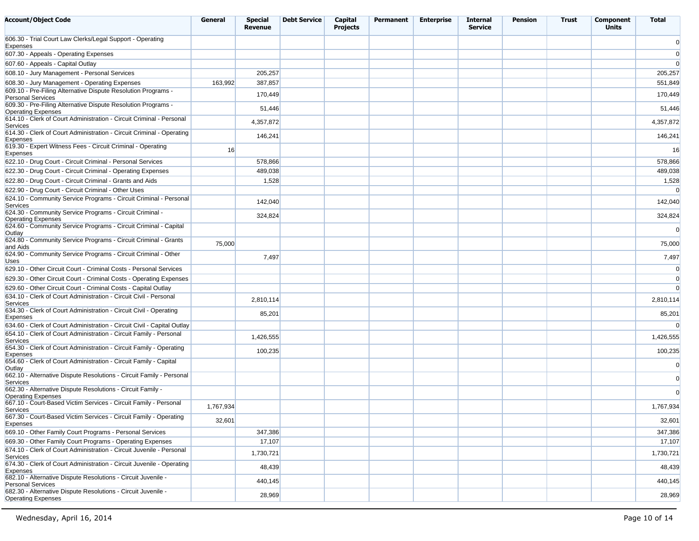| <b>Account/Object Code</b>                                                                                                                                | General   | <b>Special</b><br><b>Revenue</b> | <b>Debt Service</b> | Capital<br><b>Projects</b> | Permanent | <b>Enterprise</b> | <b>Internal</b><br><b>Service</b> | Pension | <b>Trust</b> | Component<br><b>Units</b> | <b>Total</b>   |
|-----------------------------------------------------------------------------------------------------------------------------------------------------------|-----------|----------------------------------|---------------------|----------------------------|-----------|-------------------|-----------------------------------|---------|--------------|---------------------------|----------------|
| 606.30 - Trial Court Law Clerks/Legal Support - Operating<br><b>Expenses</b>                                                                              |           |                                  |                     |                            |           |                   |                                   |         |              |                           | $\overline{0}$ |
| 607.30 - Appeals - Operating Expenses                                                                                                                     |           |                                  |                     |                            |           |                   |                                   |         |              |                           | $\overline{0}$ |
| 607.60 - Appeals - Capital Outlay                                                                                                                         |           |                                  |                     |                            |           |                   |                                   |         |              |                           | $\overline{0}$ |
| 608.10 - Jury Management - Personal Services                                                                                                              |           | 205,257                          |                     |                            |           |                   |                                   |         |              |                           | 205,257        |
| 608.30 - Jury Management - Operating Expenses                                                                                                             | 163,992   | 387,857                          |                     |                            |           |                   |                                   |         |              |                           | 551,849        |
| 609.10 - Pre-Filing Alternative Dispute Resolution Programs -<br><b>Personal Services</b>                                                                 |           | 170,449                          |                     |                            |           |                   |                                   |         |              |                           | 170,449        |
| 609.30 - Pre-Filing Alternative Dispute Resolution Programs -<br><b>Operating Expenses</b>                                                                |           | 51,446                           |                     |                            |           |                   |                                   |         |              |                           | 51,446         |
| 614.10 - Clerk of Court Administration - Circuit Criminal - Personal<br>Services                                                                          |           | 4,357,872                        |                     |                            |           |                   |                                   |         |              |                           | 4,357,872      |
| 614.30 - Clerk of Court Administration - Circuit Criminal - Operating<br><b>Expenses</b>                                                                  |           | 146,241                          |                     |                            |           |                   |                                   |         |              |                           | 146,241        |
| 619.30 - Expert Witness Fees - Circuit Criminal - Operating<br><b>Expenses</b>                                                                            | 16        |                                  |                     |                            |           |                   |                                   |         |              |                           | 16             |
| 622.10 - Drug Court - Circuit Criminal - Personal Services                                                                                                |           | 578,866                          |                     |                            |           |                   |                                   |         |              |                           | 578,866        |
| 622.30 - Drug Court - Circuit Criminal - Operating Expenses                                                                                               |           | 489,038                          |                     |                            |           |                   |                                   |         |              |                           | 489,038        |
| 622.80 - Drug Court - Circuit Criminal - Grants and Aids                                                                                                  |           | 1,528                            |                     |                            |           |                   |                                   |         |              |                           | 1,528          |
| 622.90 - Drug Court - Circuit Criminal - Other Uses                                                                                                       |           |                                  |                     |                            |           |                   |                                   |         |              |                           | $\overline{0}$ |
| 624.10 - Community Service Programs - Circuit Criminal - Personal<br>Services                                                                             |           | 142,040                          |                     |                            |           |                   |                                   |         |              |                           | 142,040        |
| 624.30 - Community Service Programs - Circuit Criminal -<br><b>Operating Expenses</b><br>624.60 - Community Service Programs - Circuit Criminal - Capital |           | 324,824                          |                     |                            |           |                   |                                   |         |              |                           | 324,824        |
| Outlay<br>624.80 - Community Service Programs - Circuit Criminal - Grants                                                                                 |           |                                  |                     |                            |           |                   |                                   |         |              |                           | $\overline{0}$ |
| and Aids<br>624.90 - Community Service Programs - Circuit Criminal - Other                                                                                | 75,000    |                                  |                     |                            |           |                   |                                   |         |              |                           | 75,000         |
| <b>Uses</b>                                                                                                                                               |           | 7,497                            |                     |                            |           |                   |                                   |         |              |                           | 7,497          |
| 629.10 - Other Circuit Court - Criminal Costs - Personal Services                                                                                         |           |                                  |                     |                            |           |                   |                                   |         |              |                           | $\overline{0}$ |
| 629.30 - Other Circuit Court - Criminal Costs - Operating Expenses                                                                                        |           |                                  |                     |                            |           |                   |                                   |         |              |                           | $\overline{0}$ |
| 629.60 - Other Circuit Court - Criminal Costs - Capital Outlay                                                                                            |           |                                  |                     |                            |           |                   |                                   |         |              |                           | $\overline{0}$ |
| 634.10 - Clerk of Court Administration - Circuit Civil - Personal<br>Services                                                                             |           | 2,810,114                        |                     |                            |           |                   |                                   |         |              |                           | 2,810,114      |
| 634.30 - Clerk of Court Administration - Circuit Civil - Operating<br><b>Expenses</b>                                                                     |           | 85,201                           |                     |                            |           |                   |                                   |         |              |                           | 85,201         |
| 634.60 - Clerk of Court Administration - Circuit Civil - Capital Outlay                                                                                   |           |                                  |                     |                            |           |                   |                                   |         |              |                           | $\overline{0}$ |
| 654.10 - Clerk of Court Administration - Circuit Family - Personal<br>Services                                                                            |           | 1,426,555                        |                     |                            |           |                   |                                   |         |              |                           | 1,426,555      |
| 654.30 - Clerk of Court Administration - Circuit Family - Operating<br><b>Expenses</b>                                                                    |           | 100,235                          |                     |                            |           |                   |                                   |         |              |                           | 100,235        |
| 654.60 - Clerk of Court Administration - Circuit Family - Capital<br>Outlay                                                                               |           |                                  |                     |                            |           |                   |                                   |         |              |                           | $\overline{0}$ |
| 662.10 - Alternative Dispute Resolutions - Circuit Family - Personal<br>Services                                                                          |           |                                  |                     |                            |           |                   |                                   |         |              |                           | $\overline{0}$ |
| 662.30 - Alternative Dispute Resolutions - Circuit Family -<br><b>Operating Expenses</b>                                                                  |           |                                  |                     |                            |           |                   |                                   |         |              |                           | $\overline{0}$ |
| 667.10 - Court-Based Victim Services - Circuit Family - Personal<br><b>Services</b>                                                                       | 1.767.934 |                                  |                     |                            |           |                   |                                   |         |              |                           | 1,767,934      |
| 667.30 - Court-Based Victim Services - Circuit Family - Operating<br><b>Expenses</b>                                                                      | 32,601    |                                  |                     |                            |           |                   |                                   |         |              |                           | 32,601         |
| 669.10 - Other Family Court Programs - Personal Services                                                                                                  |           | 347,386                          |                     |                            |           |                   |                                   |         |              |                           | 347,386        |
| 669.30 - Other Family Court Programs - Operating Expenses                                                                                                 |           | 17,107                           |                     |                            |           |                   |                                   |         |              |                           | 17,107         |
| 674.10 - Clerk of Court Administration - Circuit Juvenile - Personal<br><b>Services</b>                                                                   |           | 1,730,721                        |                     |                            |           |                   |                                   |         |              |                           | 1,730,721      |
| 674.30 - Clerk of Court Administration - Circuit Juvenile - Operating<br><b>Expenses</b>                                                                  |           | 48,439                           |                     |                            |           |                   |                                   |         |              |                           | 48,439         |
| 682.10 - Alternative Dispute Resolutions - Circuit Juvenile -<br><b>Personal Services</b>                                                                 |           | 440,145                          |                     |                            |           |                   |                                   |         |              |                           | 440,145        |
| 682.30 - Alternative Dispute Resolutions - Circuit Juvenile -<br><b>Operating Expenses</b>                                                                |           | 28,969                           |                     |                            |           |                   |                                   |         |              |                           | 28,969         |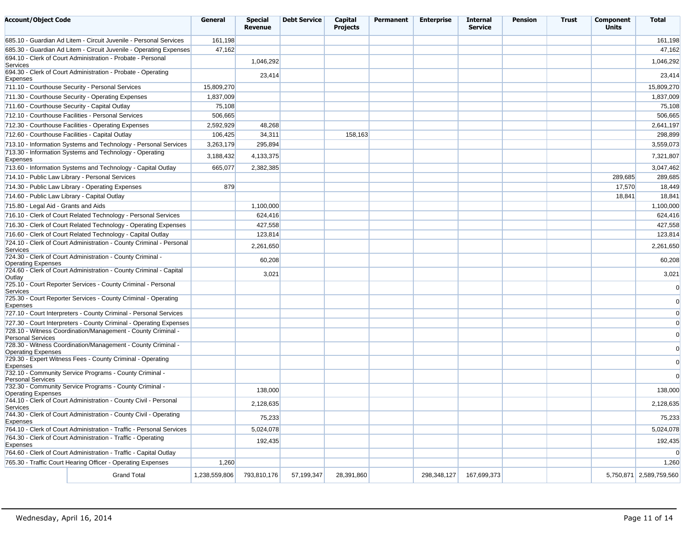| 685.10 - Guardian Ad Litem - Circuit Juvenile - Personal Services<br>161,198<br>685.30 - Guardian Ad Litem - Circuit Juvenile - Operating Expenses<br>47,162<br>694.10 - Clerk of Court Administration - Probate - Personal<br>1,046,292<br><b>Services</b><br>694.30 - Clerk of Court Administration - Probate - Operating<br>23,414 | 161,198<br>47,162<br>1,046,292<br>23,414<br>15,809,270<br>1,837,009<br>75,108<br>506,665<br>2,641,197 |
|---------------------------------------------------------------------------------------------------------------------------------------------------------------------------------------------------------------------------------------------------------------------------------------------------------------------------------------|-------------------------------------------------------------------------------------------------------|
|                                                                                                                                                                                                                                                                                                                                       |                                                                                                       |
|                                                                                                                                                                                                                                                                                                                                       |                                                                                                       |
|                                                                                                                                                                                                                                                                                                                                       |                                                                                                       |
| <b>Expenses</b>                                                                                                                                                                                                                                                                                                                       |                                                                                                       |
| 711.10 - Courthouse Security - Personal Services<br>15,809,270                                                                                                                                                                                                                                                                        |                                                                                                       |
| 711.30 - Courthouse Security - Operating Expenses<br>1,837,009                                                                                                                                                                                                                                                                        |                                                                                                       |
| 711.60 - Courthouse Security - Capital Outlay<br>75,108                                                                                                                                                                                                                                                                               |                                                                                                       |
| 712.10 - Courthouse Facilities - Personal Services<br>506,665                                                                                                                                                                                                                                                                         |                                                                                                       |
| 712.30 - Courthouse Facilities - Operating Expenses<br>2,592,929<br>48,268                                                                                                                                                                                                                                                            |                                                                                                       |
| 712.60 - Courthouse Facilities - Capital Outlay<br>34,311<br>106,425<br>158,163                                                                                                                                                                                                                                                       | 298,899                                                                                               |
| 713.10 - Information Systems and Technology - Personal Services<br>3,263,179<br>295,894                                                                                                                                                                                                                                               | 3,559,073                                                                                             |
| 713.30 - Information Systems and Technology - Operating<br>3,188,432<br>4,133,375<br>Expenses                                                                                                                                                                                                                                         | 7,321,807                                                                                             |
| 713.60 - Information Systems and Technology - Capital Outlay<br>2,382,385<br>665,077                                                                                                                                                                                                                                                  | 3,047,462                                                                                             |
| 714.10 - Public Law Library - Personal Services                                                                                                                                                                                                                                                                                       | 289,685<br>289,685                                                                                    |
| 714.30 - Public Law Library - Operating Expenses<br>879                                                                                                                                                                                                                                                                               | 18,449<br>17,570                                                                                      |
| 714.60 - Public Law Library - Capital Outlay                                                                                                                                                                                                                                                                                          | 18,841<br>18,841                                                                                      |
| 715.80 - Legal Aid - Grants and Aids<br>1,100,000                                                                                                                                                                                                                                                                                     | 1,100,000                                                                                             |
| 716.10 - Clerk of Court Related Technology - Personal Services<br>624,416                                                                                                                                                                                                                                                             | 624,416                                                                                               |
| 716.30 - Clerk of Court Related Technology - Operating Expenses<br>427,558                                                                                                                                                                                                                                                            | 427,558                                                                                               |
| 716.60 - Clerk of Court Related Technology - Capital Outlay<br>123,814                                                                                                                                                                                                                                                                | 123,814                                                                                               |
| 724.10 - Clerk of Court Administration - County Criminal - Personal<br>2,261,650<br>Services                                                                                                                                                                                                                                          | 2,261,650                                                                                             |
| 724.30 - Clerk of Court Administration - County Criminal -<br>60,208<br>Operating Expenses                                                                                                                                                                                                                                            | 60,208                                                                                                |
| 724.60 - Clerk of Court Administration - County Criminal - Capital<br>3,021<br>Outlay                                                                                                                                                                                                                                                 | 3,021                                                                                                 |
| 725.10 - Court Reporter Services - County Criminal - Personal<br>Services                                                                                                                                                                                                                                                             | $\overline{0}$                                                                                        |
| 725.30 - Court Reporter Services - County Criminal - Operating<br>Expenses                                                                                                                                                                                                                                                            | $\overline{0}$                                                                                        |
| 727.10 - Court Interpreters - County Criminal - Personal Services                                                                                                                                                                                                                                                                     | $\overline{0}$                                                                                        |
| 727.30 - Court Interpreters - County Criminal - Operating Expenses                                                                                                                                                                                                                                                                    | $\Omega$                                                                                              |
| 728.10 - Witness Coordination/Management - County Criminal -<br><b>Personal Services</b>                                                                                                                                                                                                                                              | $\overline{0}$                                                                                        |
| 728.30 - Witness Coordination/Management - County Criminal -<br><b>Operating Expenses</b><br>729.30 - Expert Witness Fees - County Criminal - Operating                                                                                                                                                                               | $\overline{0}$                                                                                        |
| Expenses<br>732.10 - Community Service Programs - County Criminal -                                                                                                                                                                                                                                                                   | $\overline{0}$                                                                                        |
| <b>Personal Services</b><br>732.30 - Community Service Programs - County Criminal -                                                                                                                                                                                                                                                   | $\Omega$                                                                                              |
| 138,000<br><b>Operating Expenses</b><br>744.10 - Clerk of Court Administration - County Civil - Personal                                                                                                                                                                                                                              | 138,000                                                                                               |
| 2,128,635<br><b>Services</b><br>744.30 - Clerk of Court Administration - County Civil - Operating                                                                                                                                                                                                                                     | 2,128,635                                                                                             |
| 75,233<br><b>Expenses</b>                                                                                                                                                                                                                                                                                                             | 75,233                                                                                                |
| 764.10 - Clerk of Court Administration - Traffic - Personal Services<br>5,024,078<br>764.30 - Clerk of Court Administration - Traffic - Operating                                                                                                                                                                                     | 5,024,078                                                                                             |
| 192,435<br><b>Expenses</b>                                                                                                                                                                                                                                                                                                            | 192,435                                                                                               |
| 764.60 - Clerk of Court Administration - Traffic - Capital Outlay                                                                                                                                                                                                                                                                     | $\Omega$                                                                                              |
| 765.30 - Traffic Court Hearing Officer - Operating Expenses<br>1,260<br><b>Grand Total</b><br>1,238,559,806<br>793,810,176<br>28,391,860<br>298,348,127<br>167,699,373<br>57,199,347                                                                                                                                                  | 1,260<br>5,750,871 2,589,759,560                                                                      |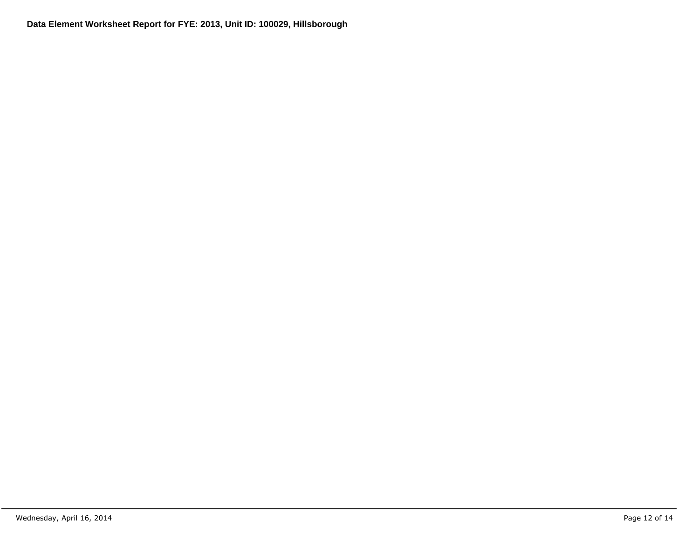**Data Element Worksheet Report for FYE: 2013, Unit ID: 100029, Hillsborough**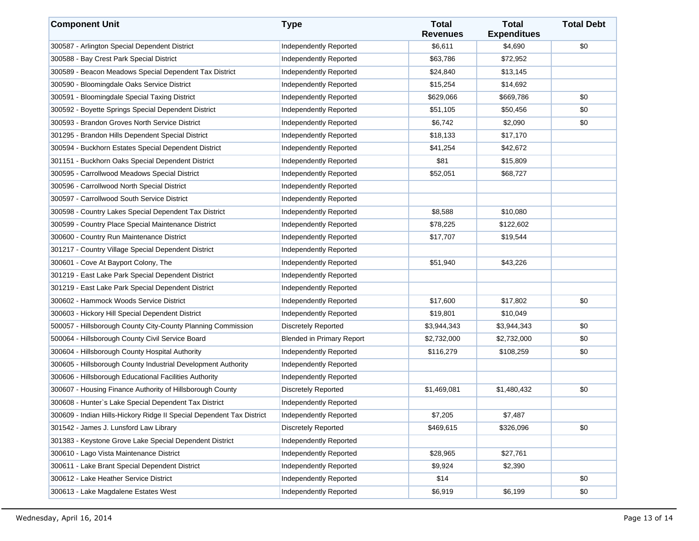| <b>Component Unit</b>                                                 | <b>Type</b>                      | <b>Total</b><br><b>Revenues</b> | <b>Total</b><br><b>Expenditues</b> | <b>Total Debt</b> |
|-----------------------------------------------------------------------|----------------------------------|---------------------------------|------------------------------------|-------------------|
| 300587 - Arlington Special Dependent District                         | Independently Reported           | \$6,611                         | \$4,690                            | \$0               |
| 300588 - Bay Crest Park Special District                              | Independently Reported           | \$63,786                        | \$72,952                           |                   |
| 300589 - Beacon Meadows Special Dependent Tax District                | Independently Reported           | \$24,840                        | \$13,145                           |                   |
| 300590 - Bloomingdale Oaks Service District                           | Independently Reported           | \$15,254                        | \$14,692                           |                   |
| 300591 - Bloomingdale Special Taxing District                         | Independently Reported           | \$629,066                       | \$669,786                          | \$0               |
| 300592 - Boyette Springs Special Dependent District                   | Independently Reported           | \$51,105                        | \$50,456                           | \$0               |
| 300593 - Brandon Groves North Service District                        | <b>Independently Reported</b>    | \$6,742                         | \$2,090                            | \$0               |
| 301295 - Brandon Hills Dependent Special District                     | Independently Reported           | \$18,133                        | \$17,170                           |                   |
| 300594 - Buckhorn Estates Special Dependent District                  | Independently Reported           | \$41,254                        | \$42,672                           |                   |
| 301151 - Buckhorn Oaks Special Dependent District                     | Independently Reported           | \$81                            | \$15,809                           |                   |
| 300595 - Carrollwood Meadows Special District                         | Independently Reported           | \$52,051                        | \$68,727                           |                   |
| 300596 - Carrollwood North Special District                           | Independently Reported           |                                 |                                    |                   |
| 300597 - Carrollwood South Service District                           | Independently Reported           |                                 |                                    |                   |
| 300598 - Country Lakes Special Dependent Tax District                 | Independently Reported           | \$8,588                         | \$10,080                           |                   |
| 300599 - Country Place Special Maintenance District                   | Independently Reported           | \$78,225                        | \$122,602                          |                   |
| 300600 - Country Run Maintenance District                             | Independently Reported           | \$17,707                        | \$19,544                           |                   |
| 301217 - Country Village Special Dependent District                   | Independently Reported           |                                 |                                    |                   |
| 300601 - Cove At Bayport Colony, The                                  | <b>Independently Reported</b>    | \$51,940                        | \$43,226                           |                   |
| 301219 - East Lake Park Special Dependent District                    | Independently Reported           |                                 |                                    |                   |
| 301219 - East Lake Park Special Dependent District                    | Independently Reported           |                                 |                                    |                   |
| 300602 - Hammock Woods Service District                               | Independently Reported           | \$17,600                        | \$17,802                           | \$0               |
| 300603 - Hickory Hill Special Dependent District                      | Independently Reported           | \$19,801                        | \$10,049                           |                   |
| 500057 - Hillsborough County City-County Planning Commission          | <b>Discretely Reported</b>       | \$3,944,343                     | \$3,944,343                        | \$0               |
| 500064 - Hillsborough County Civil Service Board                      | <b>Blended in Primary Report</b> | \$2,732,000                     | \$2,732,000                        | \$0               |
| 300604 - Hillsborough County Hospital Authority                       | Independently Reported           | \$116,279                       | \$108,259                          | \$0               |
| 300605 - Hillsborough County Industrial Development Authority         | Independently Reported           |                                 |                                    |                   |
| 300606 - Hillsborough Educational Facilities Authority                | Independently Reported           |                                 |                                    |                   |
| 300607 - Housing Finance Authority of Hillsborough County             | <b>Discretely Reported</b>       | \$1,469,081                     | \$1,480,432                        | \$0               |
| 300608 - Hunter's Lake Special Dependent Tax District                 | Independently Reported           |                                 |                                    |                   |
| 300609 - Indian Hills-Hickory Ridge II Special Dependent Tax District | Independently Reported           | \$7,205                         | \$7,487                            |                   |
| 301542 - James J. Lunsford Law Library                                | <b>Discretely Reported</b>       | \$469,615                       | \$326,096                          | \$0               |
| 301383 - Keystone Grove Lake Special Dependent District               | Independently Reported           |                                 |                                    |                   |
| 300610 - Lago Vista Maintenance District                              | Independently Reported           | \$28,965                        | \$27,761                           |                   |
| 300611 - Lake Brant Special Dependent District                        | Independently Reported           | \$9,924                         | \$2,390                            |                   |
| 300612 - Lake Heather Service District                                | Independently Reported           | \$14                            |                                    | \$0               |
| 300613 - Lake Magdalene Estates West                                  | Independently Reported           | \$6,919                         | \$6,199                            | \$0               |